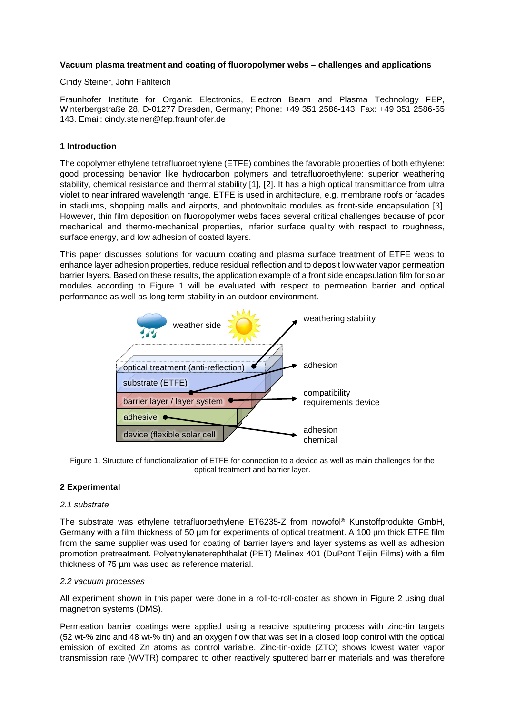# **Vacuum plasma treatment and coating of fluoropolymer webs – challenges and applications**

## Cindy Steiner, John Fahlteich

Fraunhofer Institute for Organic Electronics, Electron Beam and Plasma Technology FEP, Winterbergstraße 28, D-01277 Dresden, Germany; Phone: +49 351 2586-143. Fax: +49 351 2586-55 143. Email: cindy.steiner@fep.fraunhofer.de

# **1 Introduction**

The copolymer ethylene tetrafluoroethylene (ETFE) combines the favorable properties of both ethylene: good processing behavior like hydrocarbon polymers and tetrafluoroethylene: superior weathering stability, chemical resistance and thermal stability [1], [2]. It has a high optical transmittance from ultra violet to near infrared wavelength range. ETFE is used in architecture, e.g. membrane roofs or facades in stadiums, shopping malls and airports, and photovoltaic modules as front-side encapsulation [3]. However, thin film deposition on fluoropolymer webs faces several critical challenges because of poor mechanical and thermo-mechanical properties, inferior surface quality with respect to roughness, surface energy, and low adhesion of coated layers.

This paper discusses solutions for vacuum coating and plasma surface treatment of ETFE webs to enhance layer adhesion properties, reduce residual reflection and to deposit low water vapor permeation barrier layers. Based on these results, the application example of a front side encapsulation film for solar modules according to [Figure 1](#page-0-0) will be evaluated with respect to permeation barrier and optical performance as well as long term stability in an outdoor environment.



<span id="page-0-0"></span>Figure 1. Structure of functionalization of ETFE for connection to a device as well as main challenges for the optical treatment and barrier layer.

# **2 Experimental**

## *2.1 substrate*

The substrate was ethylene tetrafluoroethylene ET6235-Z from nowofol® Kunstoffprodukte GmbH, Germany with a film thickness of 50 µm for experiments of optical treatment. A 100 µm thick ETFE film from the same supplier was used for coating of barrier layers and layer systems as well as adhesion promotion pretreatment. Polyethyleneterephthalat (PET) Melinex 401 (DuPont Teijin Films) with a film thickness of 75 µm was used as reference material.

# *2.2 vacuum processes*

All experiment shown in this paper were done in a roll-to-roll-coater as shown in [Figure 2](#page-1-0) using dual magnetron systems (DMS).

Permeation barrier coatings were applied using a reactive sputtering process with zinc-tin targets (52 wt-% zinc and 48 wt-% tin) and an oxygen flow that was set in a closed loop control with the optical emission of excited Zn atoms as control variable. Zinc-tin-oxide (ZTO) shows lowest water vapor transmission rate (WVTR) compared to other reactively sputtered barrier materials and was therefore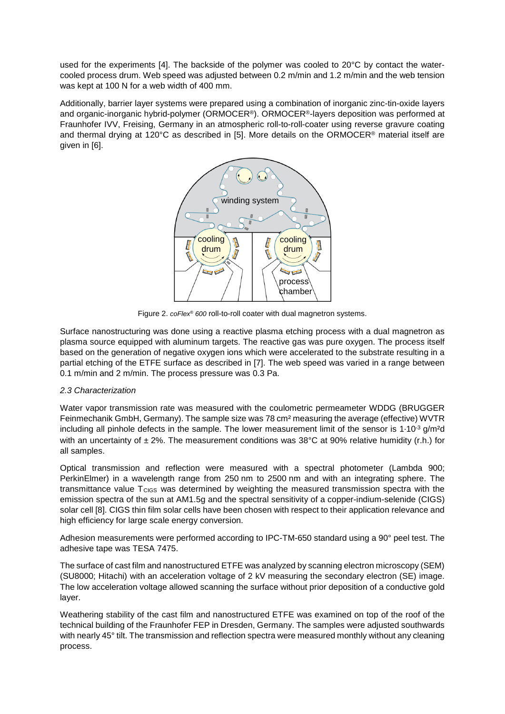used for the experiments [4]. The backside of the polymer was cooled to 20°C by contact the watercooled process drum. Web speed was adjusted between 0.2 m/min and 1.2 m/min and the web tension was kept at 100 N for a web width of 400 mm.

Additionally, barrier layer systems were prepared using a combination of inorganic zinc-tin-oxide layers and organic-inorganic hybrid-polymer (ORMOCER®). ORMOCER®-layers deposition was performed at Fraunhofer IVV, Freising, Germany in an atmospheric roll-to-roll-coater using reverse gravure coating and thermal drying at 120°C as described in [5]. More details on the ORMOCER® material itself are given in [6].



Figure 2. *coFlex® 600* roll-to-roll coater with dual magnetron systems.

<span id="page-1-0"></span>Surface nanostructuring was done using a reactive plasma etching process with a dual magnetron as plasma source equipped with aluminum targets. The reactive gas was pure oxygen. The process itself based on the generation of negative oxygen ions which were accelerated to the substrate resulting in a partial etching of the ETFE surface as described in [7]. The web speed was varied in a range between 0.1 m/min and 2 m/min. The process pressure was 0.3 Pa.

# *2.3 Characterization*

Water vapor transmission rate was measured with the coulometric permeameter WDDG (BRUGGER Feinmechanik GmbH, Germany). The sample size was 78 cm² measuring the average (effective) WVTR including all pinhole defects in the sample. The lower measurement limit of the sensor is 1∙10-3 g/m²d with an uncertainty of  $\pm 2\%$ . The measurement conditions was 38°C at 90% relative humidity (r.h.) for all samples.

Optical transmission and reflection were measured with a spectral photometer (Lambda 900; PerkinElmer) in a wavelength range from 250 nm to 2500 nm and with an integrating sphere. The transmittance value  $T<sub>CIGS</sub>$  was determined by weighting the measured transmission spectra with the emission spectra of the sun at AM1.5g and the spectral sensitivity of a copper-indium-selenide (CIGS) solar cell [8]. CIGS thin film solar cells have been chosen with respect to their application relevance and high efficiency for large scale energy conversion.

Adhesion measurements were performed according to IPC-TM-650 standard using a 90° peel test. The adhesive tape was TESA 7475.

The surface of cast film and nanostructured ETFE was analyzed by scanning electron microscopy (SEM) (SU8000; Hitachi) with an acceleration voltage of 2 kV measuring the secondary electron (SE) image. The low acceleration voltage allowed scanning the surface without prior deposition of a conductive gold layer.

Weathering stability of the cast film and nanostructured ETFE was examined on top of the roof of the technical building of the Fraunhofer FEP in Dresden, Germany. The samples were adjusted southwards with nearly 45° tilt. The transmission and reflection spectra were measured monthly without any cleaning process.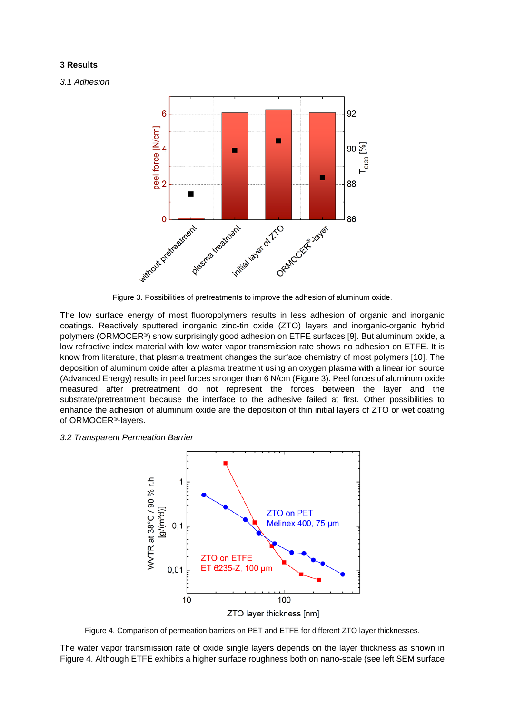## **3 Results**

*3.1 Adhesion*



Figure 3. Possibilities of pretreatments to improve the adhesion of aluminum oxide.

<span id="page-2-0"></span>The low surface energy of most fluoropolymers results in less adhesion of organic and inorganic coatings. Reactively sputtered inorganic zinc-tin oxide (ZTO) layers and inorganic-organic hybrid polymers (ORMOCER®) show surprisingly good adhesion on ETFE surfaces [9]. But aluminum oxide, a low refractive index material with low water vapor transmission rate shows no adhesion on ETFE. It is know from literature, that plasma treatment changes the surface chemistry of most polymers [10]. The deposition of aluminum oxide after a plasma treatment using an oxygen plasma with a linear ion source (Advanced Energy) results in peel forces stronger than 6 N/cm [\(Figure 3\)](#page-2-0). Peel forces of aluminum oxide measured after pretreatment do not represent the forces between the layer and the substrate/pretreatment because the interface to the adhesive failed at first. Other possibilities to enhance the adhesion of aluminum oxide are the deposition of thin initial layers of ZTO or wet coating of ORMOCER®-layers.

## *3.2 Transparent Permeation Barrier*



Figure 4. Comparison of permeation barriers on PET and ETFE for different ZTO layer thicknesses.

<span id="page-2-1"></span>The water vapor transmission rate of oxide single layers depends on the layer thickness as shown in [Figure 4.](#page-2-1) Although ETFE exhibits a higher surface roughness both on nano-scale (see left SEM surface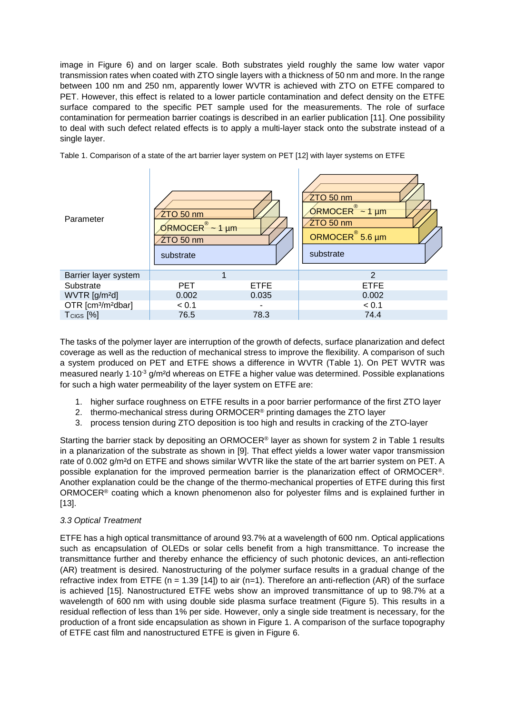image in [Figure 6\)](#page-4-0) and on larger scale. Both substrates yield roughly the same low water vapor transmission rates when coated with ZTO single layers with a thickness of 50 nm and more. In the range between 100 nm and 250 nm, apparently lower WVTR is achieved with ZTO on ETFE compared to PET. However, this effect is related to a lower particle contamination and defect density on the ETFE surface compared to the specific PET sample used for the measurements. The role of surface contamination for permeation barrier coatings is described in an earlier publication [11]. One possibility to deal with such defect related effects is to apply a multi-layer stack onto the substrate instead of a single layer.



<span id="page-3-0"></span>Table 1. Comparison of a state of the art barrier layer system on PET [12] with layer systems on ETFE

The tasks of the polymer layer are interruption of the growth of defects, surface planarization and defect coverage as well as the reduction of mechanical stress to improve the flexibility. A comparison of such a system produced on PET and ETFE shows a difference in WVTR [\(Table 1\)](#page-3-0). On PET WVTR was measured nearly 1⋅10<sup>-3</sup> g/m<sup>2</sup>d whereas on ETFE a higher value was determined. Possible explanations for such a high water permeability of the layer system on ETFE are:

- 1. higher surface roughness on ETFE results in a poor barrier performance of the first ZTO layer
- 2. thermo-mechanical stress during ORMOCER<sup>®</sup> printing damages the ZTO layer
- 3. process tension during ZTO deposition is too high and results in cracking of the ZTO-layer

Starting the barrier stack by depositing an ORMOCER® layer as shown for system 2 in [Table 1](#page-3-0) results in a planarization of the substrate as shown in [9]. That effect yields a lower water vapor transmission rate of 0.002 g/m<sup>2</sup>d on ETFE and shows similar WVTR like the state of the art barrier system on PET. A possible explanation for the improved permeation barrier is the planarization effect of ORMOCER®. Another explanation could be the change of the thermo-mechanical properties of ETFE during this first ORMOCER® coating which a known phenomenon also for polyester films and is explained further in [13].

# *3.3 Optical Treatment*

ETFE has a high optical transmittance of around 93.7% at a wavelength of 600 nm. Optical applications such as encapsulation of OLEDs or solar cells benefit from a high transmittance. To increase the transmittance further and thereby enhance the efficiency of such photonic devices, an anti-reflection (AR) treatment is desired. Nanostructuring of the polymer surface results in a gradual change of the refractive index from ETFE ( $n = 1.39$  [14]) to air ( $n=1$ ). Therefore an anti-reflection (AR) of the surface is achieved [15]. Nanostructured ETFE webs show an improved transmittance of up to 98.7% at a wavelength of 600 nm with using double side plasma surface treatment [\(Figure 5\)](#page-4-1). This results in a residual reflection of less than 1% per side. However, only a single side treatment is necessary, for the production of a front side encapsulation as shown in [Figure 1.](#page-0-0) A comparison of the surface topography of ETFE cast film and nanostructured ETFE is given in [Figure 6.](#page-4-0)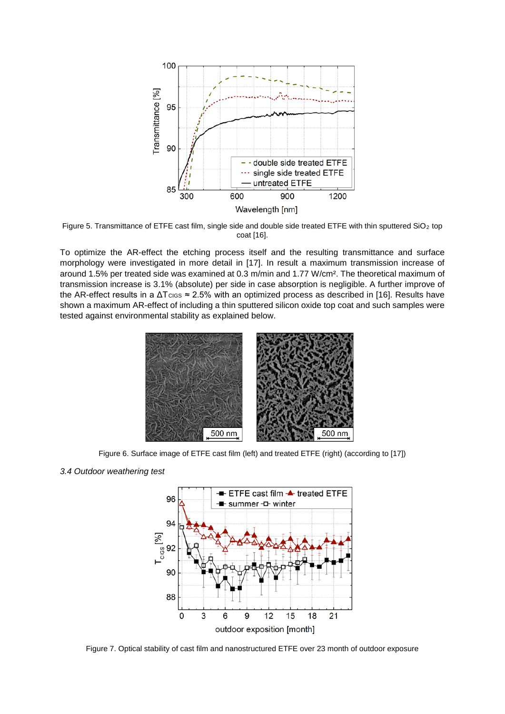

<span id="page-4-1"></span>Figure 5. Transmittance of ETFE cast film, single side and double side treated ETFE with thin sputtered SiO<sub>2</sub> top coat [16].

To optimize the AR-effect the etching process itself and the resulting transmittance and surface morphology were investigated in more detail in [17]. In result a maximum transmission increase of around 1.5% per treated side was examined at 0.3 m/min and 1.77 W/cm². The theoretical maximum of transmission increase is 3.1% (absolute) per side in case absorption is negligible. A further improve of the AR-effect results in a  $\Delta T_{CIS} \approx 2.5\%$  with an optimized process as described in [16]. Results have shown a maximum AR-effect of including a thin sputtered silicon oxide top coat and such samples were tested against environmental stability as explained below.



Figure 6. Surface image of ETFE cast film (left) and treated ETFE (right) (according to [17])

#### <span id="page-4-0"></span>*3.4 Outdoor weathering test*



<span id="page-4-2"></span>Figure 7. Optical stability of cast film and nanostructured ETFE over 23 month of outdoor exposure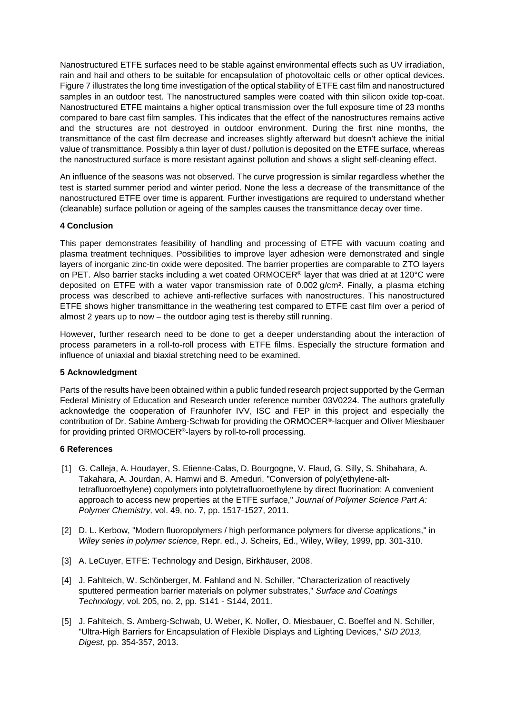Nanostructured ETFE surfaces need to be stable against environmental effects such as UV irradiation, rain and hail and others to be suitable for encapsulation of photovoltaic cells or other optical devices. [Figure 7](#page-4-2) illustrates the long time investigation of the optical stability of ETFE cast film and nanostructured samples in an outdoor test. The nanostructured samples were coated with thin silicon oxide top-coat. Nanostructured ETFE maintains a higher optical transmission over the full exposure time of 23 months compared to bare cast film samples. This indicates that the effect of the nanostructures remains active and the structures are not destroyed in outdoor environment. During the first nine months, the transmittance of the cast film decrease and increases slightly afterward but doesn't achieve the initial value of transmittance. Possibly a thin layer of dust / pollution is deposited on the ETFE surface, whereas the nanostructured surface is more resistant against pollution and shows a slight self-cleaning effect.

An influence of the seasons was not observed. The curve progression is similar regardless whether the test is started summer period and winter period. None the less a decrease of the transmittance of the nanostructured ETFE over time is apparent. Further investigations are required to understand whether (cleanable) surface pollution or ageing of the samples causes the transmittance decay over time.

# **4 Conclusion**

This paper demonstrates feasibility of handling and processing of ETFE with vacuum coating and plasma treatment techniques. Possibilities to improve layer adhesion were demonstrated and single layers of inorganic zinc-tin oxide were deposited. The barrier properties are comparable to ZTO layers on PET. Also barrier stacks including a wet coated ORMOCER® layer that was dried at at 120°C were deposited on ETFE with a water vapor transmission rate of 0.002 g/cm². Finally, a plasma etching process was described to achieve anti-reflective surfaces with nanostructures. This nanostructured ETFE shows higher transmittance in the weathering test compared to ETFE cast film over a period of almost 2 years up to now – the outdoor aging test is thereby still running.

However, further research need to be done to get a deeper understanding about the interaction of process parameters in a roll-to-roll process with ETFE films. Especially the structure formation and influence of uniaxial and biaxial stretching need to be examined.

## **5 Acknowledgment**

Parts of the results have been obtained within a public funded research project supported by the German Federal Ministry of Education and Research under reference number 03V0224. The authors gratefully acknowledge the cooperation of Fraunhofer IVV, ISC and FEP in this project and especially the contribution of Dr. Sabine Amberg-Schwab for providing the ORMOCER®-lacquer and Oliver Miesbauer for providing printed ORMOCER®-layers by roll-to-roll processing.

## **6 References**

- [1] G. Calleja, A. Houdayer, S. Etienne-Calas, D. Bourgogne, V. Flaud, G. Silly, S. Shibahara, A. Takahara, A. Jourdan, A. Hamwi and B. Ameduri, "Conversion of poly(ethylene-alttetrafluoroethylene) copolymers into polytetrafluoroethylene by direct fluorination: A convenient approach to access new properties at the ETFE surface," *Journal of Polymer Science Part A: Polymer Chemistry,* vol. 49, no. 7, pp. 1517-1527, 2011.
- [2] D. L. Kerbow, "Modern fluoropolymers / high performance polymers for diverse applications," in *Wiley series in polymer science*, Repr. ed., J. Scheirs, Ed., Wiley, Wiley, 1999, pp. 301-310.
- [3] A. LeCuyer, ETFE: Technology and Design, Birkhäuser, 2008.
- [4] J. Fahlteich, W. Schönberger, M. Fahland and N. Schiller, "Characterization of reactively sputtered permeation barrier materials on polymer substrates," *Surface and Coatings Technology,* vol. 205, no. 2, pp. S141 - S144, 2011.
- [5] J. Fahlteich, S. Amberg-Schwab, U. Weber, K. Noller, O. Miesbauer, C. Boeffel and N. Schiller, "Ultra-High Barriers for Encapsulation of Flexible Displays and Lighting Devices," *SID 2013, Digest,* pp. 354-357, 2013.